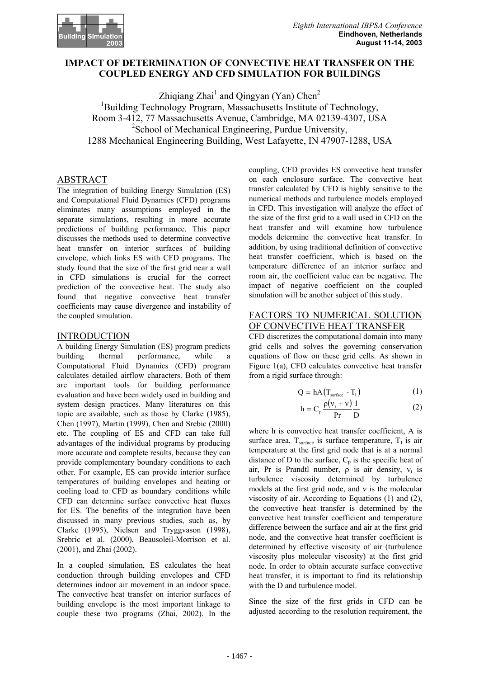

# **IMPACT OF DETERMINATION OF CONVECTIVE HEAT TRANSFER ON THE COUPLED ENERGY AND CFD SIMULATION FOR BUILDINGS**

Zhiqiang Zhai<sup>1</sup> and Qingyan (Yan) Chen<sup>2</sup> <sup>1</sup>Building Technology Program, Massachusetts Institute of Technology, Room 3-412, 77 Massachusetts Avenue, Cambridge, MA 02139-4307, USA <sup>2</sup>School of Mechanical Engineering, Purdue University, 1288 Mechanical Engineering Building, West Lafayette, IN 47907-1288, USA

## ABSTRACT

The integration of building Energy Simulation (ES) and Computational Fluid Dynamics (CFD) programs eliminates many assumptions employed in the separate simulations, resulting in more accurate predictions of building performance. This paper discusses the methods used to determine convective heat transfer on interior surfaces of building envelope, which links ES with CFD programs. The study found that the size of the first grid near a wall in CFD simulations is crucial for the correct prediction of the convective heat. The study also found that negative convective heat transfer coefficients may cause divergence and instability of the coupled simulation.

### INTRODUCTION

A building Energy Simulation (ES) program predicts building thermal performance, while a Computational Fluid Dynamics (CFD) program calculates detailed airflow characters. Both of them are important tools for building performance evaluation and have been widely used in building and system design practices. Many literatures on this topic are available, such as those by Clarke (1985), Chen (1997), Martin (1999), Chen and Srebic (2000) etc. The coupling of ES and CFD can take full advantages of the individual programs by producing more accurate and complete results, because they can provide complementary boundary conditions to each other. For example, ES can provide interior surface temperatures of building envelopes and heating or cooling load to CFD as boundary conditions while CFD can determine surface convective heat fluxes for ES. The benefits of the integration have been discussed in many previous studies, such as, by Clarke (1995), Nielsen and Tryggvason (1998), Srebric et al. (2000), Beausoleil-Morrison et al. (2001), and Zhai (2002).

In a coupled simulation, ES calculates the heat conduction through building envelopes and CFD determines indoor air movement in an indoor space. The convective heat transfer on interior surfaces of building envelope is the most important linkage to couple these two programs (Zhai, 2002). In the

coupling, CFD provides ES convective heat transfer on each enclosure surface. The convective heat transfer calculated by CFD is highly sensitive to the numerical methods and turbulence models employed in CFD. This investigation will analyze the effect of the size of the first grid to a wall used in CFD on the heat transfer and will examine how turbulence models determine the convective heat transfer. In addition, by using traditional definition of convective heat transfer coefficient, which is based on the temperature difference of an interior surface and room air, the coefficient value can be negative. The impact of negative coefficient on the coupled simulation will be another subject of this study.

### FACTORS TO NUMERICAL SOLUTION OF CONVECTIVE HEAT TRANSFER

CFD discretizes the computational domain into many grid cells and solves the governing conservation equations of flow on these grid cells. As shown in Figure 1(a), CFD calculates convective heat transfer from a rigid surface through:

$$
Q = hA(T_{surface} - T_1)
$$
 (1)

$$
h = C_p \frac{\rho(v_t + v)}{Pr} \frac{1}{D}
$$
 (2)

where h is convective heat transfer coefficient, A is surface area,  $T<sub>surface</sub>$  is surface temperature,  $T<sub>1</sub>$  is air temperature at the first grid node that is at a normal distance of D to the surface,  $C_p$  is the specific heat of air, Pr is Prandtl number,  $\rho$  is air density,  $v_t$  is turbulence viscosity determined by turbulence models at the first grid node, and ν is the molecular viscosity of air. According to Equations (1) and (2), the convective heat transfer is determined by the convective heat transfer coefficient and temperature difference between the surface and air at the first grid node, and the convective heat transfer coefficient is determined by effective viscosity of air (turbulence viscosity plus molecular viscosity) at the first grid node. In order to obtain accurate surface convective heat transfer, it is important to find its relationship with the D and turbulence model.

Since the size of the first grids in CFD can be adjusted according to the resolution requirement, the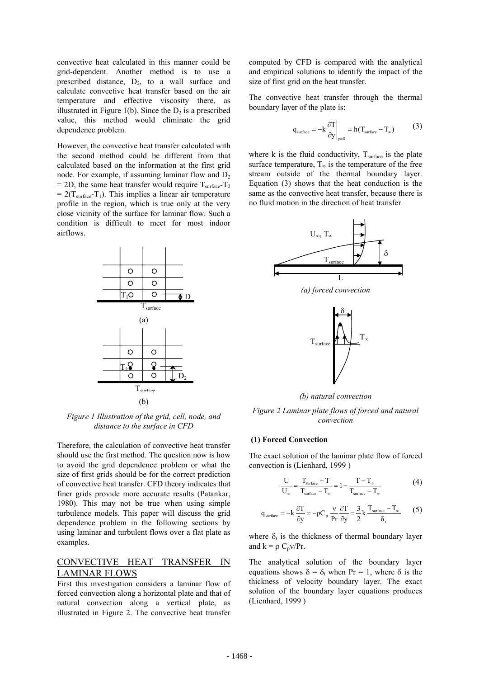convective heat calculated in this manner could be grid-dependent. Another method is to use a prescribed distance,  $D_2$ , to a wall surface and calculate convective heat transfer based on the air temperature and effective viscosity there, as illustrated in Figure 1(b). Since the  $D_2$  is a prescribed value, this method would eliminate the grid dependence problem.

However, the convective heat transfer calculated with the second method could be different from that calculated based on the information at the first grid node. For example, if assuming laminar flow and  $D_2$ = 2D, the same heat transfer would require  $T_{\text{surface}}-T_2$  $= 2(T<sub>surface</sub>-T<sub>1</sub>)$ . This implies a linear air temperature profile in the region, which is true only at the very close vicinity of the surface for laminar flow. Such a condition is difficult to meet for most indoor airflows.



*Figure 1 Illustration of the grid, cell, node, and distance to the surface in CFD* 

Therefore, the calculation of convective heat transfer should use the first method. The question now is how to avoid the grid dependence problem or what the size of first grids should be for the correct prediction of convective heat transfer. CFD theory indicates that finer grids provide more accurate results (Patankar, 1980). This may not be true when using simple turbulence models. This paper will discuss the grid dependence problem in the following sections by using laminar and turbulent flows over a flat plate as examples.

# CONVECTIVE HEAT TRANSFER IN LAMINAR FLOWS

First this investigation considers a laminar flow of forced convection along a horizontal plate and that of natural convection along a vertical plate, as illustrated in Figure 2. The convective heat transfer computed by CFD is compared with the analytical and empirical solutions to identify the impact of the size of first grid on the heat transfer.

The convective heat transfer through the thermal boundary layer of the plate is:

$$
q_{\text{surface}} = -k \frac{\partial T}{\partial y}\Big|_{y=0} = h(T_{\text{surface}} - T_{\infty})
$$
 (3)

where  $k$  is the fluid conductivity,  $T_{\text{surface}}$  is the plate surface temperature,  $T_{\infty}$  is the temperature of the free stream outside of the thermal boundary layer. Equation (3) shows that the heat conduction is the same as the convective heat transfer, because there is no fluid motion in the direction of heat transfer.



 $T<sub>surface</sub>$ 

*(b) natural convection* 

*Figure 2 Laminar plate flows of forced and natural convection* 

#### **(1) Forced Convection**

The exact solution of the laminar plate flow of forced convection is (Lienhard, 1999 )

$$
\frac{U}{U_{\infty}} = \frac{T_{surface} - T}{T_{surface} - T_{\infty}} = 1 - \frac{T - T_{\infty}}{T_{surface} - T_{\infty}}
$$
(4)

$$
q_{\text{surface}} = -k \frac{\partial T}{\partial y} = -\rho C_p \frac{v}{Pr} \frac{\partial T}{\partial y} = \frac{3}{2} k \frac{T_{\text{surface}} - T_{\infty}}{\delta_t}
$$
 (5)

where  $\delta_t$  is the thickness of thermal boundary layer and  $k = \rho C_p v/Pr$ .

The analytical solution of the boundary layer equations shows  $\delta = \delta_t$  when Pr = 1, where  $\delta$  is the thickness of velocity boundary layer. The exact solution of the boundary layer equations produces (Lienhard, 1999 )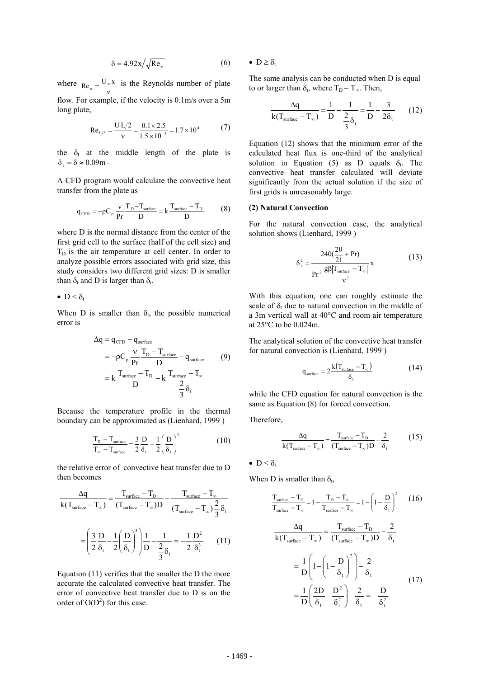$$
\delta = 4.92 \,\mathrm{x} / \sqrt{\mathrm{Re}_{\mathrm{x}}} \tag{6}
$$

where  $Re_x = \frac{U_{\infty}x}{v}$  is the Reynolds number of plate flow. For example, if the velocity is 0.1m/s over a 5m

long plate,

$$
\text{Re}_{1/2} = \frac{U L/2}{v} = \frac{0.1 \times 2.5}{1.5 \times 10^{-5}} = 1.7 \times 10^{4} \tag{7}
$$

the  $\delta_t$  at the middle length of the plate is  $\delta_0 = \delta \approx 0.09$ m.

A CFD program would calculate the convective heat transfer from the plate as

$$
q_{\text{CFD}} = -\rho C_p \frac{v}{Pr} \frac{T_{\text{D}} - T_{\text{surface}}}{D} = k \frac{T_{\text{surface}} - T_{\text{D}}}{D}
$$
 (8)

where D is the normal distance from the center of the first grid cell to the surface (half of the cell size) and  $T<sub>D</sub>$  is the air temperature at cell center. In order to analyze possible errors associated with grid size, this study considers two different grid sizes: D is smaller than  $\delta_t$  and D is larger than  $\delta_t$ .

•  $D < \delta_t$ 

When D is smaller than  $\delta_t$ , the possible numerical error is

$$
\Delta q = q_{CFD} - q_{surface}
$$
\n
$$
= -\rho C_p \frac{v}{Pr} \frac{T_D - T_{surface}}{D} - q_{surface}
$$
\n
$$
= k \frac{T_{surface} - T_D}{D} - k \frac{T_{surface} - T_{\infty}}{\frac{2}{3} \delta_t}
$$
\n(9)

Because the temperature profile in the thermal boundary can be approximated as (Lienhard, 1999 )

$$
\frac{T_{\rm D} - T_{\rm surface}}{T_{\infty} - T_{\rm surface}} = \frac{3}{2} \frac{D}{\delta_{\rm t}} - \frac{1}{2} \left( \frac{D}{\delta_{\rm t}} \right)^3 \tag{10}
$$

the relative error of convective heat transfer due to D then becomes

$$
\frac{\Delta q}{k(T_{\text{surface}} - T_{\infty})} = \frac{T_{\text{surface}} - T_{\text{D}}}{(T_{\text{surface}} - T_{\infty})D} - \frac{T_{\text{surface}} - T_{\infty}}{(T_{\text{surface}} - T_{\infty})\frac{2}{3}\delta_{t}}
$$

$$
= \left(\frac{3}{2}\frac{D}{\delta_{t}} - \frac{1}{2}\left(\frac{D}{\delta_{t}}\right)^{3}\right)\frac{1}{D} - \frac{1}{\frac{2}{3}\delta_{t}} = -\frac{1}{2}\frac{D^{2}}{\delta_{t}^{3}} \qquad (11)
$$

Equation (11) verifies that the smaller the D the more accurate the calculated convective heat transfer. The error of convective heat transfer due to D is on the order of  $O(D^2)$  for this case.

•  $D \geq \delta_t$ 

The same analysis can be conducted when D is equal to or larger than  $\delta_t$ , where  $T_D = T_{\infty}$ . Then,

$$
\frac{\Delta q}{k(T_{\text{surface}} - T_{\infty})} = \frac{1}{D} - \frac{1}{\frac{2}{3}\delta_t} = \frac{1}{D} - \frac{3}{2\delta_t} \qquad (12)
$$

Equation (12) shows that the minimum error of the calculated heat flux is one-third of the analytical solution in Equation (5) as D equals  $\delta_t$ . The convective heat transfer calculated will deviate significantly from the actual solution if the size of first grids is unreasonably large.

#### **(2) Natural Convection**

For the natural convection case, the analytical solution shows (Lienhard, 1999 )

$$
\delta_{t}^{4} = \frac{240(\frac{20}{21} + Pr)}{Pr^{2} \frac{g\beta|T_{surface} - T_{\infty}|}{v^{2}}}
$$
 (13)

With this equation, one can roughly estimate the scale of  $\delta_t$  due to natural convection in the middle of a 3m vertical wall at 40°C and room air temperature at 25°C to be 0.024m.

The analytical solution of the convective heat transfer for natural convection is (Lienhard, 1999 )

$$
q_{\text{surface}} = 2 \frac{k(T_{\text{surface}} - T_{\infty})}{\delta_{\text{t}}} \tag{14}
$$

while the CFD equation for natural convection is the same as Equation (8) for forced convection.

Therefore,

$$
\frac{\Delta q}{k(T_{\text{surface}} - T_{\infty})} = \frac{T_{\text{surface}} - T_{\text{D}}}{(T_{\text{surface}} - T_{\infty})D} - \frac{2}{\delta_{\text{t}}}
$$
(15)

$$
\bullet\ D\leq\delta_t
$$

When D is smaller than  $\delta_t$ ,

$$
\frac{T_{\text{surface}} - T_{\text{D}}}{T_{\text{surface}} - T_{\infty}} = 1 - \frac{T_{\text{D}} - T_{\infty}}{T_{\text{surface}} - T_{\infty}} = 1 - \left(1 - \frac{D}{\delta_{t}}\right)^{2} \qquad (16)
$$
\n
$$
\frac{\Delta q}{k(T_{\text{surface}} - T_{\infty})} = \frac{T_{\text{surface}} - T_{\text{D}}}{(T_{\text{surface}} - T_{\infty})D} - \frac{2}{\delta_{t}}
$$
\n
$$
= \frac{1}{D} \left(1 - \left(1 - \frac{D}{\delta_{t}}\right)^{2}\right) - \frac{2}{\delta_{t}}
$$
\n
$$
= \frac{1}{D} \left(\frac{2D}{\delta_{t}} - \frac{D^{2}}{\delta_{t}^{2}}\right) - \frac{2}{\delta_{t}} = -\frac{D}{\delta_{t}^{2}}
$$
\n(17)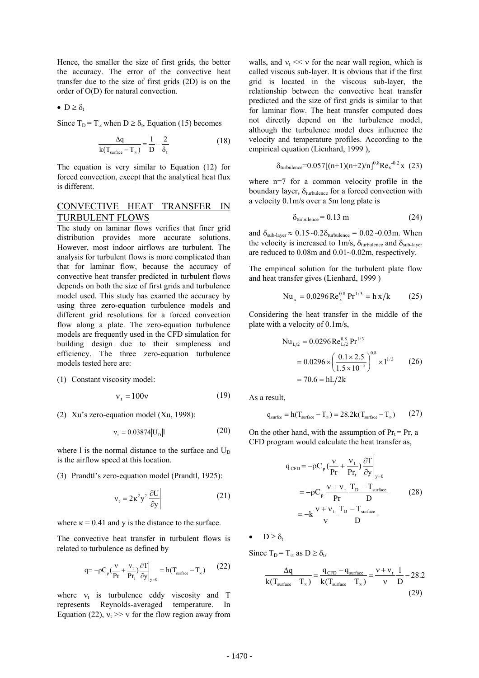Hence, the smaller the size of first grids, the better the accuracy. The error of the convective heat transfer due to the size of first grids (2D) is on the order of O(D) for natural convection.

•  $D \geq \delta_t$ 

Since  $T_D = T_{\infty}$  when  $D \ge \delta_t$ , Equation (15) becomes

$$
\frac{\Delta q}{k(T_{\text{surface}} - T_{\infty})} = \frac{1}{D} - \frac{2}{\delta_{\text{t}}}
$$
(18)

The equation is very similar to Equation (12) for forced convection, except that the analytical heat flux is different.

### CONVECTIVE HEAT TRANSFER IN TURBULENT FLOWS

The study on laminar flows verifies that finer grid distribution provides more accurate solutions. However, most indoor airflows are turbulent. The analysis for turbulent flows is more complicated than that for laminar flow, because the accuracy of convective heat transfer predicted in turbulent flows depends on both the size of first grids and turbulence model used. This study has examed the accuracy by using three zero-equation turbulence models and different grid resolutions for a forced convection flow along a plate. The zero-equation turbulence models are frequently used in the CFD simulation for building design due to their simpleness and efficiency. The three zero-equation turbulence models tested here are:

(1) Constant viscosity model:

$$
v_t = 100v \tag{19}
$$

(2) Xu's zero-equation model (Xu, 1998):

$$
v_t = 0.03874 |U_D|1
$$
 (20)

where 1 is the normal distance to the surface and  $U_D$ is the airflow speed at this location.

(3) Prandtl's zero-equation model (Prandtl, 1925):

$$
v_t = 2\kappa^2 y^2 \left| \frac{\partial U}{\partial y} \right| \tag{21}
$$

where  $\kappa = 0.41$  and y is the distance to the surface.

The convective heat transfer in turbulent flows is related to turbulence as defined by

$$
q = -\rho C_p \left(\frac{v}{Pr} + \frac{v_t}{Pr_t}\right) \frac{\partial T}{\partial y}\Big|_{y=0} = h(T_{surface} - T_{\infty})
$$
 (22)

where  $v_t$  is turbulence eddy viscosity and T represents Reynolds-averaged temperature. In Equation (22),  $v_t \gg v$  for the flow region away from

walls, and  $v_t \ll v$  for the near wall region, which is called viscous sub-layer. It is obvious that if the first grid is located in the viscous sub-layer, the relationship between the convective heat transfer predicted and the size of first grids is similar to that for laminar flow. The heat transfer computed does not directly depend on the turbulence model, although the turbulence model does influence the velocity and temperature profiles. According to the empirical equation (Lienhard, 1999).

$$
\delta_{\text{turbulence}} = 0.057[(n+1)(n+2)/n]^{0.8} \text{Re}_x^{-0.2} \times (23)
$$

where n=7 for a common velocity profile in the boundary layer,  $\delta_{\text{turbulence}}$  for a forced convection with a velocity 0.1m/s over a 5m long plate is

$$
\delta_{\text{turbulence}} = 0.13 \text{ m} \tag{24}
$$

and  $\delta_{\text{sub-layer}} \approx 0.15 \sim 0.2 \delta_{\text{turbulence}} = 0.02 \sim 0.03 \text{m}$ . When the velocity is increased to 1m/s,  $\delta_{\text{turbulence}}$  and  $\delta_{\text{sub-layer}}$ are reduced to 0.08m and 0.01~0.02m, respectively.

The empirical solution for the turbulent plate flow and heat transfer gives (Lienhard, 1999 )

$$
Nu_x = 0.0296 \text{Re}_x^{0.8} \text{Pr}^{1/3} = h x/k \qquad (25)
$$

Considering the heat transfer in the middle of the plate with a velocity of 0.1m/s,

Nu<sub>L/2</sub> = 0.0296 Re<sub>L/2</sub><sup>0.8</sup> Pr<sup>1/3</sup>  
= 0.0296 × 
$$
\left(\frac{0.1 \times 2.5}{1.5 \times 10^{-5}}\right)^{0.8}
$$
 × 1<sup>1/3</sup> (26)  
= 70.6 = hL/2k

As a result,

$$
q_{\text{surface}} = h(T_{\text{surface}} - T_{\infty}) = 28.2k(T_{\text{surface}} - T_{\infty})
$$
 (27)

On the other hand, with the assumption of  $Pr_t = Pr$ , a CFD program would calculate the heat transfer as,

$$
q_{CFD} = -\rho C_p \left(\frac{v}{Pr} + \frac{v_t}{Pr_t}\right) \frac{\partial T}{\partial y}\Big|_{y=0}
$$
  
=  $-\rho C_p \frac{v + v_t}{Pr} \frac{T_D - T_{surface}}{D}$  (28)  
=  $-k \frac{v + v_t}{v} \frac{T_D - T_{surface}}{D}$ 

 $\bullet$  D  $\geq \delta_t$ 

Since  $T_D = T_{\infty}$  as  $D \ge \delta_t$ ,

$$
\frac{\Delta q}{k(T_{\text{surface}} - T_{\infty})} = \frac{q_{\text{CFD}} - q_{\text{surface}}}{k(T_{\text{surface}} - T_{\infty})} = \frac{v + v_{\text{t}}}{v} \frac{1}{D} - 28.2
$$
\n(29)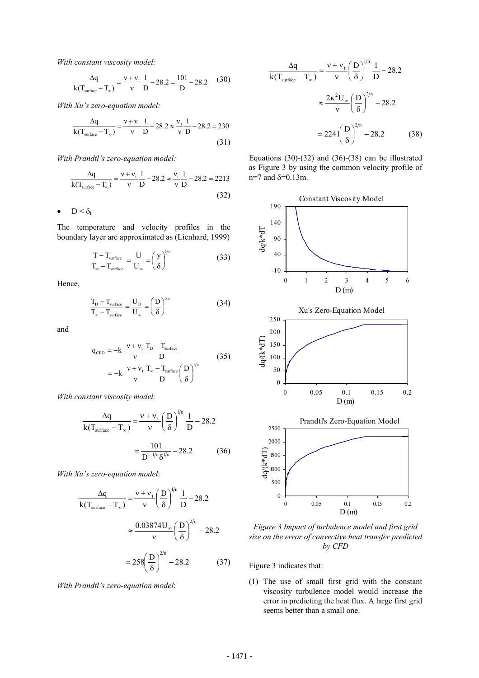*With constant viscosity model:* 

$$
\frac{\Delta q}{k(T_{\text{surface}} - T_{\infty})} = \frac{v + v_{\text{t}}}{v} \frac{1}{D} - 28.2 = \frac{101}{D} - 28.2
$$
 (30)

*With Xu's zero-equation model:* 

$$
\frac{\Delta q}{k(T_{surface} - T_{\infty})} = \frac{v + v_t}{v} \frac{1}{D} - 28.2 \approx \frac{v_t}{v} \frac{1}{D} - 28.2 = 230
$$
\n(31)

*With Prandtl's zero-equation model:* 

$$
\frac{\Delta q}{k(T_{\text{surface}} - T_{\infty})} = \frac{v + v_{\text{t}}}{v} \frac{1}{D} - 28.2 \approx \frac{v_{\text{t}}}{v} \frac{1}{D} - 28.2 = 2213
$$
\n(32)

•  $D < \delta_t$ 

The temperature and velocity profiles in the boundary layer are approximated as (Lienhard, 1999)

$$
\frac{T - T_{\text{surface}}}{T_{\infty} - T_{\text{surface}}} = \frac{U}{U_{\infty}} = \left(\frac{y}{\delta}\right)^{1/n}
$$
(33)

Hence,

$$
\frac{T_{\rm D} - T_{\rm surface}}{T_{\infty} - T_{\rm surface}} = \frac{U_{\rm D}}{U_{\infty}} = \left(\frac{D}{\delta}\right)^{1/n}
$$
(34)

and

$$
q_{CFD} = -k \frac{v + v_t}{v} \frac{T_D - T_{surface}}{D}
$$
  
= -k \frac{v + v\_t}{v} \frac{T\_{\infty} - T\_{surface}}{D} \left(\frac{D}{\delta}\right)^{1/n} (35)

*With constant viscosity model:* 

$$
\frac{\Delta q}{k(T_{surface} - T_{\infty})} = \frac{v + v_t}{v} \left(\frac{D}{\delta}\right)^{1/n} \frac{1}{D} - 28.2
$$

$$
= \frac{101}{D^{1-1/n} \delta^{1/n}} - 28.2 \tag{36}
$$

*With Xu's zero-equation model*:

$$
\frac{\Delta q}{k(T_{\text{surface}} - T_{\infty})} = \frac{v + v_t}{v} \left(\frac{D}{\delta}\right)^{1/n} \frac{1}{D} - 28.2
$$

$$
\approx \frac{0.03874 U_{\infty}}{v} \left(\frac{D}{\delta}\right)^{2/n} - 28.2
$$

$$
= 258 \left(\frac{D}{\delta}\right)^{2/n} - 28.2 \tag{37}
$$

*With Prandtl's zero-equation model*:

$$
\frac{\Delta q}{k(T_{\text{surface}} - T_{\infty})} = \frac{v + v_t}{v} \left(\frac{D}{\delta}\right)^{1/n} \frac{1}{D} - 28.2
$$

$$
\approx \frac{2\kappa^2 U_{\infty}}{v} \left(\frac{D}{\delta}\right)^{2/n} - 28.2
$$

$$
= 2241 \left(\frac{D}{\delta}\right)^{2/n} - 28.2 \tag{38}
$$

Equations  $(30)-(32)$  and  $(36)-(38)$  can be illustrated as Figure 3 by using the common velocity profile of n=7 and δ=0.13m.



*Figure 3 Impact of turbulence model and first grid size on the error of convective heat transfer predicted by CFD* 

Figure 3 indicates that:

(1) The use of small first grid with the constant viscosity turbulence model would increase the error in predicting the heat flux. A large first grid seems better than a small one.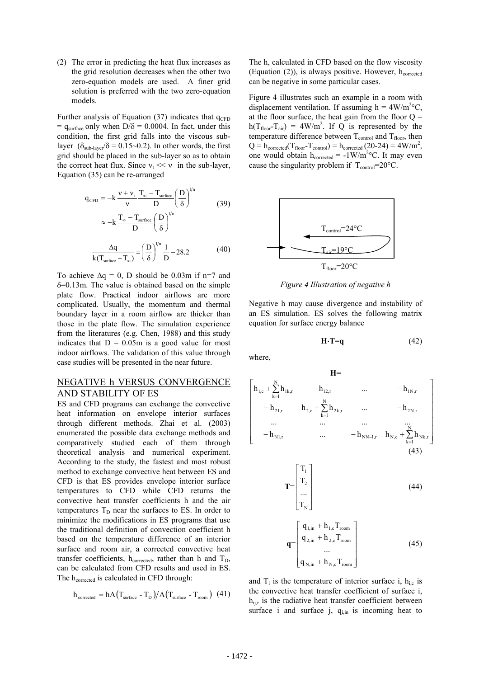(2) The error in predicting the heat flux increases as the grid resolution decreases when the other two zero-equation models are used. A finer grid solution is preferred with the two zero-equation models.

Further analysis of Equation  $(37)$  indicates that  $q_{CFD}$  $=$  q<sub>surface</sub> only when D/ $\delta$  = 0.0004. In fact, under this condition, the first grid falls into the viscous sublayer ( $\delta_{\text{sub-layer}}/\delta = 0.15 \sim 0.2$ ). In other words, the first grid should be placed in the sub-layer so as to obtain the correct heat flux. Since  $v_t \ll v$  in the sub-layer, Equation (35) can be re-arranged

$$
q_{CFD} = -k \frac{v + v_t}{v} \frac{T_{\infty} - T_{surface}}{D} \left(\frac{D}{\delta}\right)^{1/n}
$$
  
\n
$$
\approx -k \frac{T_{\infty} - T_{surface}}{D} \left(\frac{D}{\delta}\right)^{1/n}
$$
  
\n
$$
\frac{\Delta q}{k(T_{surface} - T_{\infty})} = \left(\frac{D}{\delta}\right)^{1/n} \frac{1}{D} - 28.2
$$
 (40)

To achieve  $\Delta q = 0$ , D should be 0.03m if n=7 and δ=0.13m. The value is obtained based on the simple plate flow. Practical indoor airflows are more complicated. Usually, the momentum and thermal boundary layer in a room airflow are thicker than those in the plate flow. The simulation experience from the literatures (e.g. Chen, 1988) and this study indicates that  $D = 0.05m$  is a good value for most indoor airflows. The validation of this value through case studies will be presented in the near future.

### NEGATIVE h VERSUS CONVERGENCE AND STABILITY OF ES

ES and CFD programs can exchange the convective heat information on envelope interior surfaces through different methods. Zhai et al. (2003) enumerated the possible data exchange methods and comparatively studied each of them through theoretical analysis and numerical experiment. According to the study, the fastest and most robust method to exchange convective heat between ES and CFD is that ES provides envelope interior surface temperatures to CFD while CFD returns the convective heat transfer coefficients h and the air temperatures  $T_D$  near the surfaces to ES. In order to minimize the modifications in ES programs that use the traditional definition of convection coefficient h based on the temperature difference of an interior surface and room air, a corrected convective heat transfer coefficients,  $h_{corrected}$ , rather than h and  $T_D$ , can be calculated from CFD results and used in ES. The h<sub>corrected</sub> is calculated in CFD through:

$$
h_{\text{corrected}} = hA (T_{\text{surface}} - T_{\text{D}}) / A (T_{\text{surface}} - T_{\text{room}}) (41)
$$

The h, calculated in CFD based on the flow viscosity (Equation  $(2)$ ), is always positive. However,  $h<sub>corrected</sub>$ can be negative in some particular cases.

Figure 4 illustrates such an example in a room with displacement ventilation. If assuming  $h = 4W/m^2C$ , at the floor surface, the heat gain from the floor  $Q =$  $h(T_{floor}-T_{air}) = 4W/m^2$ . If Q is represented by the temperature difference between  $T_{control}$  and  $T_{floor}$ , then  $Q = h_{\text{corrected}}(T_{\text{floor}} - T_{\text{control}}) = h_{\text{corrected}}(20-24) = 4W/m^2$ , one would obtain  $h_{\text{corrected}} = -1 \text{W/m}^2 \text{°C}$ . It may even cause the singularity problem if  $T_{control}=20^{\circ}C$ .



*Figure 4 Illustration of negative h*

Negative h may cause divergence and instability of an ES simulation. ES solves the following matrix equation for surface energy balance

$$
H \cdot T = q \tag{42}
$$

where,

$$
\mathbf{H} = \n\begin{bmatrix}\n\mathbf{h}_{1,c} + \sum_{k=1}^{N} \mathbf{h}_{1k,r} & -\mathbf{h}_{12,r} & \dots & -\mathbf{h}_{1N,r} \\
-\mathbf{h}_{21,r} & \mathbf{h}_{2,c} + \sum_{k=1}^{N} \mathbf{h}_{2k,r} & \dots & -\mathbf{h}_{2N,r} \\
\vdots & \vdots & \ddots & \vdots \\
-\mathbf{h}_{N1,r} & \dots & -\mathbf{h}_{NN-1,r} & \mathbf{h}_{N,c} + \sum_{k=1}^{N} \mathbf{h}_{Nk,r}\n\end{bmatrix}
$$
\n
$$
\mathbf{T} = \begin{bmatrix}\nT_1 \\
T_2 \\
\vdots \\
T_N\n\end{bmatrix}
$$
\n
$$
\mathbf{T} = \begin{bmatrix}\nq_1 \\
q_2 \\
q_3 \\
\vdots \\
q_{N,m} + \mathbf{h}_{1,c}T_{\text{room}} \\
\vdots \\
q_{N,m} + \mathbf{h}_{N,c}T_{\text{room}}\n\end{bmatrix}
$$
\n(45)

and  $T_i$  is the temperature of interior surface i,  $h_{i,c}$  is the convective heat transfer coefficient of surface i,  $h_{ijr}$  is the radiative heat transfer coefficient between surface i and surface  $j$ ,  $q_{i,in}$  is incoming heat to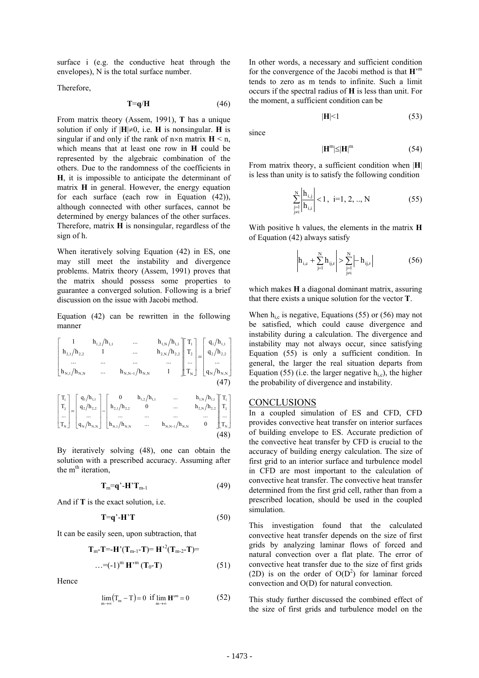surface i (e.g. the conductive heat through the envelopes), N is the total surface number.

Therefore,

$$
T=q/H \tag{46}
$$

From matrix theory (Assem, 1991), **T** has a unique solution if only if  $|H| \neq 0$ , i.e. **H** is nonsingular. **H** is singular if and only if the rank of  $n \times n$  matrix  $H \le n$ , which means that at least one row in **H** could be represented by the algebraic combination of the others. Due to the randomness of the coefficients in **H**, it is impossible to anticipate the determinant of matrix **H** in general. However, the energy equation for each surface (each row in Equation (42)), although connected with other surfaces, cannot be determined by energy balances of the other surfaces. Therefore, matrix **H** is nonsingular, regardless of the sign of h.

When iteratively solving Equation (42) in ES, one may still meet the instability and divergence problems. Matrix theory (Assem, 1991) proves that the matrix should possess some properties to guarantee a converged solution. Following is a brief discussion on the issue with Jacobi method.

Equation (42) can be rewritten in the following manner

$$
\begin{bmatrix}\n1 & h_{1,2}/h_{1,1} & \dots & h_{1,N}/h_{1,1} \\
h_{2,1}/h_{2,2} & 1 & \dots & h_{2,N}/h_{2,2} \\
\dots & \dots & \dots & \dots \\
h_{N,1}/h_{N,N} & \dots & h_{N,N-1}/h_{N,N} & 1\n\end{bmatrix}\n\begin{bmatrix}\nT_1 \\
T_2 \\
\dots \\
T_N\n\end{bmatrix}\n=\n\begin{bmatrix}\nq_1/h_{1,1} \\
q_2/h_{2,2} \\
\dots \\
q_N/h_{N,N}\n\end{bmatrix}
$$
\n
$$
\begin{bmatrix}\nT_1 \\
T_2 \\
\dots \\
T_N\n\end{bmatrix}\n=\n\begin{bmatrix}\nq_1/h_{1,1} \\
q_2/h_{2,2} \\
\dots \\
q_N/h_{N,N}\n\end{bmatrix}
$$
\n
$$
\begin{bmatrix}\nT_1 \\
T_2 \\
\dots \\
T_N\n\end{bmatrix}\n=\n\begin{bmatrix}\nq_1/h_{1,1} \\
q_2/h_{2,2} \\
\dots \\
q_N/h_{N,N}\n\end{bmatrix}
$$
\n
$$
\begin{bmatrix}\nT_1 \\
T_2 \\
\dots \\
T_N\n\end{bmatrix}\n=\n\begin{bmatrix}\nq_1/h_{1,1} \\
q_2/h_{2,2} \\
\dots \\
q_N/h_{N,N}\n\end{bmatrix}
$$
\n
$$
\begin{bmatrix}\nT_1 \\
T_2 \\
\dots \\
T_N\n\end{bmatrix}\n=\n\begin{bmatrix}\nq_1/h_{1,1} \\
q_2/h_{2,2} \\
\dots \\
q_N/h_{N,N}\n\end{bmatrix}
$$
\n
$$
\begin{bmatrix}\nT_1 \\
T_2 \\
\dots \\
T_N\n\end{bmatrix}\n=\n\begin{bmatrix}\nq_1/h_{1,1} \\
q_2/h_{2,2} \\
\dots \\
q_N/h_{N,N}\n\end{bmatrix}
$$
\n
$$
\begin{bmatrix}\nT_1 \\
T_2 \\
\dots \\
T_N\n\end{bmatrix}\n=\n\begin{bmatrix}\nq_1/h_{1,1} \\
q_2/h_{2,2} \\
\dots \\
q_N/h_{N,N}\n\end{bmatrix}
$$
\n
$$
\begin{bmatrix}\nT_1 \\
T_2 \\
\dots \\
T_N\n\end{bmatrix}\n=\n\begin{bmatrix}\nq_1/h_{1,1} \\
q_2/h_{2,2} \\
\dots \\
q_N/h_{N,N}
$$

By iteratively solving (48), one can obtain the solution with a prescribed accuracy. Assuming after the  $m<sup>th</sup>$  iteration,

$$
\mathbf{T}_{m}=\mathbf{q'}\cdot\mathbf{H'}\mathbf{T}_{m-1}
$$
 (49)

And if **T** is the exact solution, i.e.

$$
T=q'-H'T
$$
 (50)

It can be easily seen, upon subtraction, that

$$
T_{m} - T = -H'(T_{m-1} - T) = H'^{2}(T_{m-2} - T) =
$$
  
...=(-1)<sup>m</sup> H'<sup>m</sup> (T<sub>0</sub> - T) (51)

Hence

$$
\lim_{m \to \infty} (T_m - T) = 0 \text{ if } \lim_{m \to \infty} \mathbf{H}^m = 0 \tag{52}
$$

In other words, a necessary and sufficient condition for the convergence of the Jacobi method is that **H**' m tends to zero as m tends to infinite. Such a limit occurs if the spectral radius of **H** is less than unit. For the moment, a sufficient condition can be

$$
|\mathbf{H}|<1\tag{53}
$$

since

$$
|\mathbf{H}^{\mathrm{m}}| \leq |\mathbf{H}|^{\mathrm{m}} \tag{54}
$$

From matrix theory, a sufficient condition when |**H**| is less than unity is to satisfy the following condition

$$
\sum_{\substack{j=1\\j\neq i}}^{N} \left| \frac{h_{i,j}}{h_{i,i}} \right| < 1, \ i=1, 2, \dots, N \tag{55}
$$

With positive h values, the elements in the matrix **H** of Equation (42) always satisfy

 $\mathbb{R}^2$ 

$$
\left| h_{i,c} + \sum_{j=1}^{N} h_{ij,r} \right| > \sum_{\substack{j=1 \ j \neq i}}^{N} \left| -h_{ij,r} \right|
$$
 (56)

which makes **H** a diagonal dominant matrix, assuring that there exists a unique solution for the vector **T**.

When  $h_{i,c}$  is negative, Equations (55) or (56) may not be satisfied, which could cause divergence and instability during a calculation. The divergence and instability may not always occur, since satisfying Equation (55) is only a sufficient condition. In general, the larger the real situation departs from Equation (55) (i.e. the larger negative  $h_{i,c}$ ), the higher the probability of divergence and instability.

### **CONCLUSIONS**

In a coupled simulation of ES and CFD, CFD provides convective heat transfer on interior surfaces of building envelope to ES. Accurate prediction of the convective heat transfer by CFD is crucial to the accuracy of building energy calculation. The size of first grid to an interior surface and turbulence model in CFD are most important to the calculation of convective heat transfer. The convective heat transfer determined from the first grid cell, rather than from a prescribed location, should be used in the coupled simulation.

This investigation found that the calculated convective heat transfer depends on the size of first grids by analyzing laminar flows of forced and natural convection over a flat plate. The error of convective heat transfer due to the size of first grids (2D) is on the order of  $O(D^2)$  for laminar forced convection and O(D) for natural convection.

This study further discussed the combined effect of the size of first grids and turbulence model on the